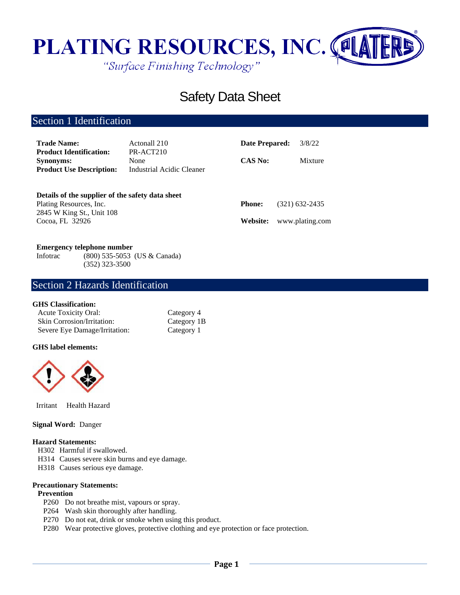

# Safety Data Sheet

# Section 1 Identification

| <b>Trade Name:</b>                                 | Actonall 210                                   | Date Prepared: | 3/8/22          |  |
|----------------------------------------------------|------------------------------------------------|----------------|-----------------|--|
| <b>Product Identification:</b><br><b>Synonyms:</b> | PR-ACT210<br>None<br>Industrial Acidic Cleaner | <b>CAS No:</b> | Mixture         |  |
| <b>Product Use Description:</b>                    |                                                |                |                 |  |
| Details of the supplier of the safety data sheet   |                                                |                |                 |  |
| Plating Resources, Inc.                            |                                                | <b>Phone:</b>  | (321) 632-2435  |  |
| 2845 W King St., Unit 108                          |                                                |                |                 |  |
| Cocoa, FL 32926                                    |                                                | Website:       | www.plating.com |  |

### **Emergency telephone number**

Infotrac (800) 535-5053 (US & Canada) (352) 323-3500

### Section 2 Hazards Identification

### **GHS Classification:**

| <b>Acute Toxicity Oral:</b>       | Category 4  |
|-----------------------------------|-------------|
| <b>Skin Corrosion/Irritation:</b> | Category 1B |
| Severe Eye Damage/Irritation:     | Category 1  |

### **GHS label elements:**



Irritant Health Hazard

### **Signal Word:** Danger

### **Hazard Statements:**

- H302 Harmful if swallowed.
- H314 Causes severe skin burns and eye damage.
- H318 Causes serious eye damage.

#### **Precautionary Statements:**

#### **Prevention**

- P260 Do not breathe mist, vapours or spray.
- P264 Wash skin thoroughly after handling.
- P270 Do not eat, drink or smoke when using this product.
- P280 Wear protective gloves, protective clothing and eye protection or face protection.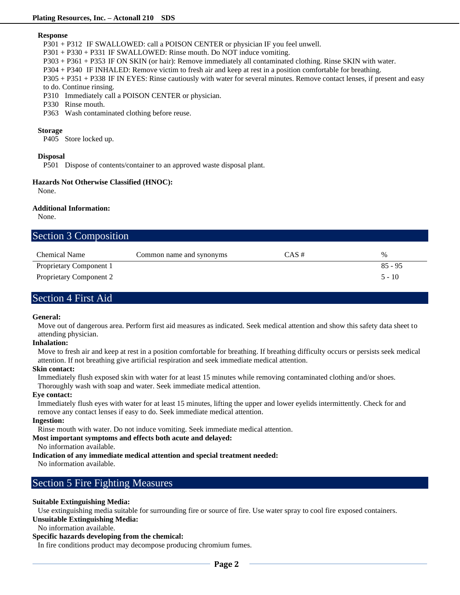### **Response**

P301 + P312 IF SWALLOWED: call a POISON CENTER or physician IF you feel unwell.

P301 + P330 + P331 IF SWALLOWED: Rinse mouth. Do NOT induce vomiting.

P303 + P361 + P353 IF ON SKIN (or hair): Remove immediately all contaminated clothing. Rinse SKIN with water.

P304 + P340 IF INHALED: Remove victim to fresh air and keep at rest in a position comfortable for breathing.

P305 + P351 + P338 IF IN EYES: Rinse cautiously with water for several minutes. Remove contact lenses, if present and easy to do. Continue rinsing.

- P310 Immediately call a POISON CENTER or physician.
- P330 Rinse mouth.
- P363 Wash contaminated clothing before reuse.

### **Storage**

P405 Store locked up.

### **Disposal**

P501 Dispose of contents/container to an approved waste disposal plant.

### **Hazards Not Otherwise Classified (HNOC):**

None.

### **Additional Information:**

None.

| <b>Section 3 Composition</b>   |                          |          |           |
|--------------------------------|--------------------------|----------|-----------|
| <b>Chemical Name</b>           | Common name and synonyms | $CAS \#$ | $\%$      |
| Proprietary Component 1        |                          |          | $85 - 95$ |
| <b>Proprietary Component 2</b> |                          |          | $5 - 10$  |

# Section 4 First Aid

### **General:**

Move out of dangerous area. Perform first aid measures as indicated. Seek medical attention and show this safety data sheet to attending physician.

### **Inhalation:**

Move to fresh air and keep at rest in a position comfortable for breathing. If breathing difficulty occurs or persists seek medical attention. If not breathing give artificial respiration and seek immediate medical attention.

### **Skin contact:**

Immediately flush exposed skin with water for at least 15 minutes while removing contaminated clothing and/or shoes.

Thoroughly wash with soap and water. Seek immediate medical attention.

### **Eye contact:**

Immediately flush eyes with water for at least 15 minutes, lifting the upper and lower eyelids intermittently. Check for and remove any contact lenses if easy to do. Seek immediate medical attention.

### **Ingestion:**

Rinse mouth with water. Do not induce vomiting. Seek immediate medical attention.

### **Most important symptoms and effects both acute and delayed:**

No information available.

### **Indication of any immediate medical attention and special treatment needed:**

No information available.

## Section 5 Fire Fighting Measures

### **Suitable Extinguishing Media:**

Use extinguishing media suitable for surrounding fire or source of fire. Use water spray to cool fire exposed containers.

- **Unsuitable Extinguishing Media:**
- No information available.

### **Specific hazards developing from the chemical:**

In fire conditions product may decompose producing chromium fumes.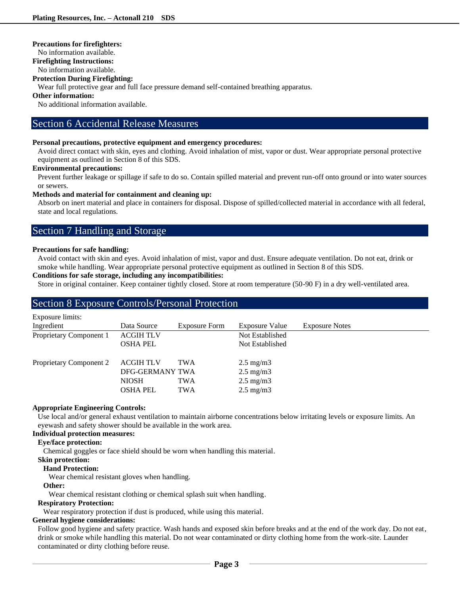### **Precautions for firefighters:**

No information available.

### **Firefighting Instructions:**

No information available.

### **Protection During Firefighting:**

Wear full protective gear and full face pressure demand self-contained breathing apparatus.

### **Other information:**

No additional information available.

### Section 6 Accidental Release Measures

### **Personal precautions, protective equipment and emergency procedures:**

Avoid direct contact with skin, eyes and clothing. Avoid inhalation of mist, vapor or dust. Wear appropriate personal protective equipment as outlined in Section 8 of this SDS.

### **Environmental precautions:**

Prevent further leakage or spillage if safe to do so. Contain spilled material and prevent run-off onto ground or into water sources or sewers.

### **Methods and material for containment and cleaning up:**

Absorb on inert material and place in containers for disposal. Dispose of spilled/collected material in accordance with all federal, state and local regulations.

## Section 7 Handling and Storage

### **Precautions for safe handling:**

Avoid contact with skin and eyes. Avoid inhalation of mist, vapor and dust. Ensure adequate ventilation. Do not eat, drink or smoke while handling. Wear appropriate personal protective equipment as outlined in Section 8 of this SDS.

### **Conditions for safe storage, including any incompatibilities:**

Store in original container. Keep container tightly closed. Store at room temperature (50-90 F) in a dry well-ventilated area.

### Section 8 Exposure Controls/Personal Protection

| Exposure limits:        |                  |                      |                       |                       |
|-------------------------|------------------|----------------------|-----------------------|-----------------------|
| Ingredient              | Data Source      | <b>Exposure Form</b> | <b>Exposure Value</b> | <b>Exposure Notes</b> |
| Proprietary Component 1 | <b>ACGIH TLV</b> |                      | Not Established       |                       |
|                         | <b>OSHA PEL</b>  |                      | Not Established       |                       |
| Proprietary Component 2 | <b>ACGIH TLV</b> | <b>TWA</b>           | $2.5 \text{ mg/m}$    |                       |
|                         | DFG-GERMANY TWA  |                      | $2.5 \text{ mg/m}$    |                       |
|                         | <b>NIOSH</b>     | <b>TWA</b>           | $2.5 \text{ mg/m}$    |                       |
|                         | <b>OSHA PEL</b>  | <b>TWA</b>           | $2.5 \text{ mg/m}$    |                       |

### **Appropriate Engineering Controls:**

Use local and/or general exhaust ventilation to maintain airborne concentrations below irritating levels or exposure limits. An eyewash and safety shower should be available in the work area.

### **Individual protection measures:**

### **Eye/face protection:**

Chemical goggles or face shield should be worn when handling this material.

### **Skin protection:**

### **Hand Protection:**

Wear chemical resistant gloves when handling.

### **Other:**

Wear chemical resistant clothing or chemical splash suit when handling.

### **Respiratory Protection:**

Wear respiratory protection if dust is produced, while using this material.

### **General hygiene considerations:**

Follow good hygiene and safety practice. Wash hands and exposed skin before breaks and at the end of the work day. Do not eat, drink or smoke while handling this material. Do not wear contaminated or dirty clothing home from the work-site. Launder contaminated or dirty clothing before reuse.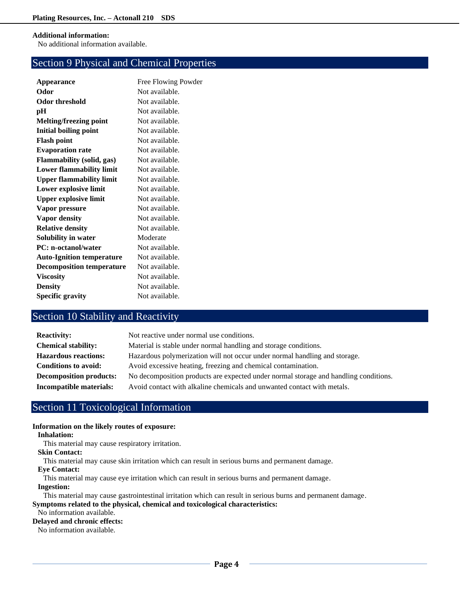### **Additional information:**

No additional information available.

# Section 9 Physical and Chemical Properties

| Appearance                       | Free Flowing Powder |
|----------------------------------|---------------------|
| Odor                             | Not available.      |
| <b>Odor threshold</b>            | Not available.      |
| pН                               | Not available.      |
| <b>Melting/freezing point</b>    | Not available.      |
| <b>Initial boiling point</b>     | Not available.      |
| <b>Flash point</b>               | Not available.      |
| <b>Evaporation rate</b>          | Not available.      |
| <b>Flammability</b> (solid, gas) | Not available.      |
| <b>Lower flammability limit</b>  | Not available.      |
| <b>Upper flammability limit</b>  | Not available.      |
| Lower explosive limit            | Not available.      |
| <b>Upper explosive limit</b>     | Not available.      |
| Vapor pressure                   | Not available.      |
| Vapor density                    | Not available.      |
| <b>Relative density</b>          | Not available.      |
| Solubility in water              | Moderate            |
| <b>PC:</b> n-octanol/water       | Not available.      |
| <b>Auto-Ignition temperature</b> | Not available.      |
| <b>Decomposition temperature</b> | Not available.      |
| <b>Viscosity</b>                 | Not available.      |
| <b>Density</b>                   | Not available.      |
| <b>Specific gravity</b>          | Not available.      |
|                                  |                     |

# Section 10 Stability and Reactivity

| <b>Reactivity:</b>             | Not reactive under normal use conditions.                                            |
|--------------------------------|--------------------------------------------------------------------------------------|
| <b>Chemical stability:</b>     | Material is stable under normal handling and storage conditions.                     |
| <b>Hazardous reactions:</b>    | Hazardous polymerization will not occur under normal handling and storage.           |
| <b>Conditions to avoid:</b>    | Avoid excessive heating, freezing and chemical contamination.                        |
| <b>Decomposition products:</b> | No decomposition products are expected under normal storage and handling conditions. |
| Incompatible materials:        | Avoid contact with alkaline chemicals and unwanted contact with metals.              |

# Section 11 Toxicological Information

### **Information on the likely routes of exposure:**

### **Inhalation:**

This material may cause respiratory irritation.

### **Skin Contact:**

This material may cause skin irritation which can result in serious burns and permanent damage.

#### **Eye Contact:**

This material may cause eye irritation which can result in serious burns and permanent damage.

**Ingestion:**

### This material may cause gastrointestinal irritation which can result in serious burns and permanent damage. **Symptoms related to the physical, chemical and toxicological characteristics:**

No information available.

### **Delayed and chronic effects:**

No information available.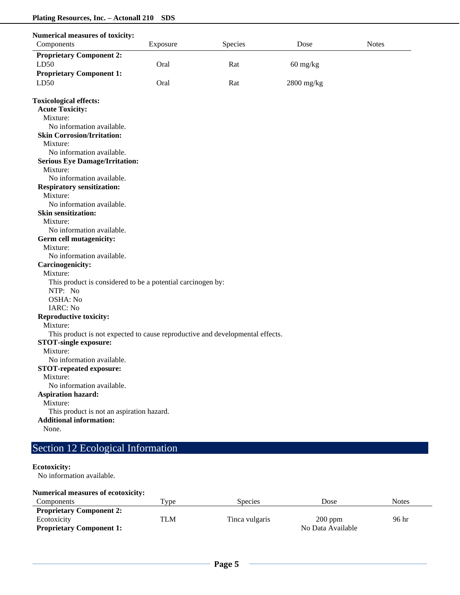| <b>Numerical measures of toxicity:</b>                                        |          |         |                                  |              |
|-------------------------------------------------------------------------------|----------|---------|----------------------------------|--------------|
| Components                                                                    | Exposure | Species | Dose                             | <b>Notes</b> |
| <b>Proprietary Component 2:</b>                                               |          |         |                                  |              |
| LD50                                                                          | Oral     | Rat     | $60 \frac{\text{mg}}{\text{kg}}$ |              |
| <b>Proprietary Component 1:</b>                                               |          |         |                                  |              |
| LD50                                                                          | Oral     | Rat     | 2800 mg/kg                       |              |
|                                                                               |          |         |                                  |              |
| <b>Toxicological effects:</b>                                                 |          |         |                                  |              |
| <b>Acute Toxicity:</b>                                                        |          |         |                                  |              |
| Mixture:                                                                      |          |         |                                  |              |
| No information available.                                                     |          |         |                                  |              |
| <b>Skin Corrosion/Irritation:</b>                                             |          |         |                                  |              |
| Mixture:                                                                      |          |         |                                  |              |
| No information available.                                                     |          |         |                                  |              |
| <b>Serious Eye Damage/Irritation:</b>                                         |          |         |                                  |              |
| Mixture:                                                                      |          |         |                                  |              |
| No information available.                                                     |          |         |                                  |              |
| <b>Respiratory sensitization:</b>                                             |          |         |                                  |              |
| Mixture:                                                                      |          |         |                                  |              |
| No information available.                                                     |          |         |                                  |              |
| <b>Skin sensitization:</b>                                                    |          |         |                                  |              |
| Mixture:                                                                      |          |         |                                  |              |
| No information available.                                                     |          |         |                                  |              |
| Germ cell mutagenicity:                                                       |          |         |                                  |              |
| Mixture:                                                                      |          |         |                                  |              |
| No information available.                                                     |          |         |                                  |              |
| <b>Carcinogenicity:</b>                                                       |          |         |                                  |              |
| Mixture:                                                                      |          |         |                                  |              |
|                                                                               |          |         |                                  |              |
| This product is considered to be a potential carcinogen by:<br>NTP: No        |          |         |                                  |              |
| OSHA: No                                                                      |          |         |                                  |              |
|                                                                               |          |         |                                  |              |
| <b>IARC: No</b>                                                               |          |         |                                  |              |
| <b>Reproductive toxicity:</b>                                                 |          |         |                                  |              |
| Mixture:                                                                      |          |         |                                  |              |
| This product is not expected to cause reproductive and developmental effects. |          |         |                                  |              |
| <b>STOT-single exposure:</b>                                                  |          |         |                                  |              |
| Mixture:                                                                      |          |         |                                  |              |
| No information available.                                                     |          |         |                                  |              |
| <b>STOT-repeated exposure:</b>                                                |          |         |                                  |              |
| Mixture:                                                                      |          |         |                                  |              |
| No information available.                                                     |          |         |                                  |              |
| <b>Aspiration hazard:</b>                                                     |          |         |                                  |              |
| Mixture:                                                                      |          |         |                                  |              |
| This product is not an aspiration hazard.                                     |          |         |                                  |              |
| <b>Additional information:</b>                                                |          |         |                                  |              |
| None.                                                                         |          |         |                                  |              |

# Section 12 Ecological Information

# **Ecotoxicity:**

No information available.

| <b>Numerical measures of ecotoxicity:</b> |                    |                |                   |              |
|-------------------------------------------|--------------------|----------------|-------------------|--------------|
| <b>Components</b>                         | $T$ <sub>VDe</sub> | <b>Species</b> | Dose              | <b>Notes</b> |
| <b>Proprietary Component 2:</b>           |                    |                |                   |              |
| Ecotoxicity                               | TLM                | Tinca vulgaris | $200$ ppm         | 96 hr        |
| <b>Proprietary Component 1:</b>           |                    |                | No Data Available |              |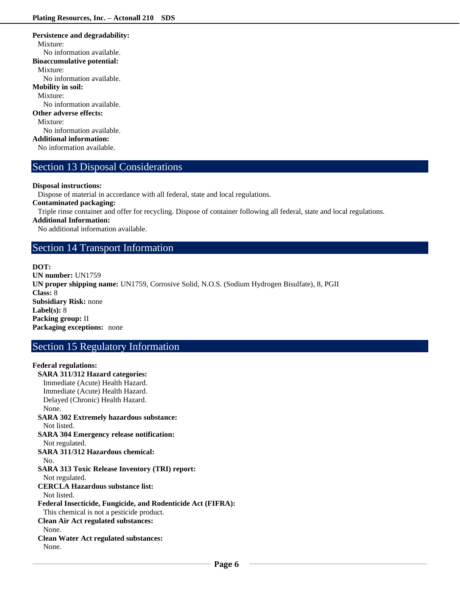### **Persistence and degradability:** Mixture: No information available. **Bioaccumulative potential:** Mixture: No information available. **Mobility in soil:** Mixture: No information available. **Other adverse effects:** Mixture: No information available. **Additional information:** No information available.

### Section 13 Disposal Considerations

### **Disposal instructions:**

Dispose of material in accordance with all federal, state and local regulations.

**Contaminated packaging:**

Triple rinse container and offer for recycling. Dispose of container following all federal, state and local regulations.

### **Additional Information:**

**Federal regulations:**

No additional information available.

### Section 14 Transport Information

### **DOT:**

**UN number:** UN1759 **UN proper shipping name:** UN1759, Corrosive Solid, N.O.S. (Sodium Hydrogen Bisulfate), 8, PGII **Class:** 8 **Subsidiary Risk:** none **Label(s):** 8 **Packing group:** II **Packaging exceptions:** none

# Section 15 Regulatory Information

### **SARA 311/312 Hazard categories:**  Immediate (Acute) Health Hazard. Immediate (Acute) Health Hazard. Delayed (Chronic) Health Hazard. None. **SARA 302 Extremely hazardous substance:** Not listed. **SARA 304 Emergency release notification:** Not regulated. **SARA 311/312 Hazardous chemical:** No. **SARA 313 Toxic Release Inventory (TRI) report:** Not regulated. **CERCLA Hazardous substance list:** Not listed. **Federal Insecticide, Fungicide, and Rodenticide Act (FIFRA):** This chemical is not a pesticide product. **Clean Air Act regulated substances:** None. **Clean Water Act regulated substances:** None.